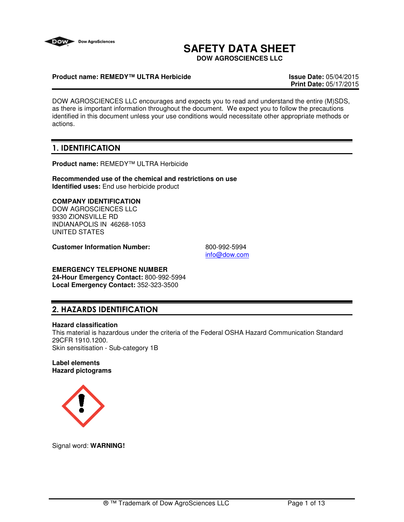

# **SAFETY DATA SHEET**

**DOW AGROSCIENCES LLC**

### **Product name: REMEDY™ ULTRA Herbicide Issue Date:** 05/04/2015

**Print Date:** 05/17/2015

DOW AGROSCIENCES LLC encourages and expects you to read and understand the entire (M)SDS, as there is important information throughout the document. We expect you to follow the precautions identified in this document unless your use conditions would necessitate other appropriate methods or actions.

# 1. IDENTIFICATION

**Product name:** REMEDY™ ULTRA Herbicide

**Recommended use of the chemical and restrictions on use Identified uses:** End use herbicide product

## **COMPANY IDENTIFICATION**

DOW AGROSCIENCES LLC 9330 ZIONSVILLE RD INDIANAPOLIS IN 46268-1053 UNITED STATES

**Customer Information Number:** 800-992-5994

info@dow.com

# **EMERGENCY TELEPHONE NUMBER**

**24-Hour Emergency Contact:** 800-992-5994 **Local Emergency Contact:** 352-323-3500

# 2. HAZARDS IDENTIFICATION

#### **Hazard classification**

This material is hazardous under the criteria of the Federal OSHA Hazard Communication Standard 29CFR 1910.1200. Skin sensitisation - Sub-category 1B

#### **Label elements Hazard pictograms**



Signal word: **WARNING!**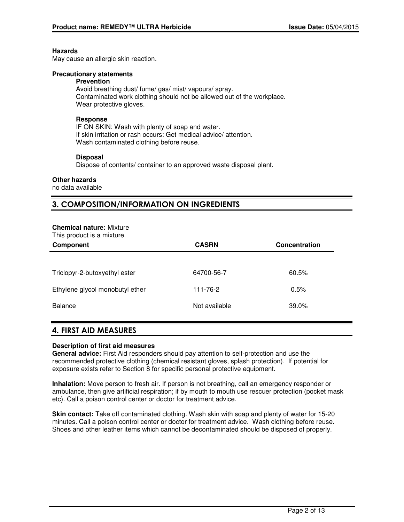#### **Hazards**

May cause an allergic skin reaction.

#### **Precautionary statements**

#### **Prevention**

Avoid breathing dust/ fume/ gas/ mist/ vapours/ spray. Contaminated work clothing should not be allowed out of the workplace. Wear protective gloves.

### **Response**

IF ON SKIN: Wash with plenty of soap and water. If skin irritation or rash occurs: Get medical advice/ attention. Wash contaminated clothing before reuse.

#### **Disposal**

Dispose of contents/ container to an approved waste disposal plant.

#### **Other hazards**

no data available

# 3. COMPOSITION/INFORMATION ON INGREDIENTS

#### **Chemical nature:** Mixture

This product is a mixture.

| Component                       | <b>CASRN</b>  | Concentration |
|---------------------------------|---------------|---------------|
|                                 |               |               |
| Triclopyr-2-butoxyethyl ester   | 64700-56-7    | 60.5%         |
| Ethylene glycol monobutyl ether | 111-76-2      | 0.5%          |
| Balance                         | Not available | 39.0%         |

## 4. FIRST AID MEASURES

#### **Description of first aid measures**

**General advice:** First Aid responders should pay attention to self-protection and use the recommended protective clothing (chemical resistant gloves, splash protection). If potential for exposure exists refer to Section 8 for specific personal protective equipment.

**Inhalation:** Move person to fresh air. If person is not breathing, call an emergency responder or ambulance, then give artificial respiration; if by mouth to mouth use rescuer protection (pocket mask etc). Call a poison control center or doctor for treatment advice.

**Skin contact:** Take off contaminated clothing. Wash skin with soap and plenty of water for 15-20 minutes. Call a poison control center or doctor for treatment advice. Wash clothing before reuse. Shoes and other leather items which cannot be decontaminated should be disposed of properly.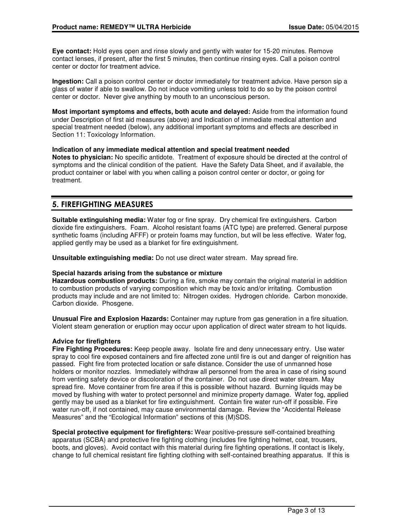**Eye contact:** Hold eyes open and rinse slowly and gently with water for 15-20 minutes. Remove contact lenses, if present, after the first 5 minutes, then continue rinsing eyes. Call a poison control center or doctor for treatment advice.

**Ingestion:** Call a poison control center or doctor immediately for treatment advice. Have person sip a glass of water if able to swallow. Do not induce vomiting unless told to do so by the poison control center or doctor. Never give anything by mouth to an unconscious person.

**Most important symptoms and effects, both acute and delayed:** Aside from the information found under Description of first aid measures (above) and Indication of immediate medical attention and special treatment needed (below), any additional important symptoms and effects are described in Section 11: Toxicology Information.

### **Indication of any immediate medical attention and special treatment needed**

**Notes to physician:** No specific antidote. Treatment of exposure should be directed at the control of symptoms and the clinical condition of the patient. Have the Safety Data Sheet, and if available, the product container or label with you when calling a poison control center or doctor, or going for treatment.

# 5. FIREFIGHTING MEASURES

**Suitable extinguishing media:** Water fog or fine spray. Dry chemical fire extinguishers. Carbon dioxide fire extinguishers. Foam. Alcohol resistant foams (ATC type) are preferred. General purpose synthetic foams (including AFFF) or protein foams may function, but will be less effective. Water fog, applied gently may be used as a blanket for fire extinguishment.

**Unsuitable extinguishing media:** Do not use direct water stream. May spread fire.

#### **Special hazards arising from the substance or mixture**

**Hazardous combustion products:** During a fire, smoke may contain the original material in addition to combustion products of varying composition which may be toxic and/or irritating. Combustion products may include and are not limited to: Nitrogen oxides. Hydrogen chloride. Carbon monoxide. Carbon dioxide. Phosgene.

**Unusual Fire and Explosion Hazards:** Container may rupture from gas generation in a fire situation. Violent steam generation or eruption may occur upon application of direct water stream to hot liquids.

#### **Advice for firefighters**

**Fire Fighting Procedures:** Keep people away. Isolate fire and deny unnecessary entry. Use water spray to cool fire exposed containers and fire affected zone until fire is out and danger of reignition has passed. Fight fire from protected location or safe distance. Consider the use of unmanned hose holders or monitor nozzles. Immediately withdraw all personnel from the area in case of rising sound from venting safety device or discoloration of the container. Do not use direct water stream. May spread fire. Move container from fire area if this is possible without hazard. Burning liquids may be moved by flushing with water to protect personnel and minimize property damage. Water fog, applied gently may be used as a blanket for fire extinguishment. Contain fire water run-off if possible. Fire water run-off, if not contained, may cause environmental damage. Review the "Accidental Release Measures" and the "Ecological Information" sections of this (M)SDS.

**Special protective equipment for firefighters:** Wear positive-pressure self-contained breathing apparatus (SCBA) and protective fire fighting clothing (includes fire fighting helmet, coat, trousers, boots, and gloves). Avoid contact with this material during fire fighting operations. If contact is likely, change to full chemical resistant fire fighting clothing with self-contained breathing apparatus. If this is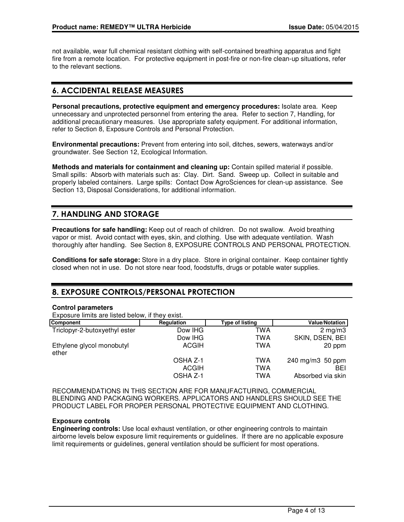not available, wear full chemical resistant clothing with self-contained breathing apparatus and fight fire from a remote location. For protective equipment in post-fire or non-fire clean-up situations, refer to the relevant sections.

# 6. ACCIDENTAL RELEASE MEASURES

**Personal precautions, protective equipment and emergency procedures:** Isolate area. Keep unnecessary and unprotected personnel from entering the area. Refer to section 7, Handling, for additional precautionary measures. Use appropriate safety equipment. For additional information, refer to Section 8, Exposure Controls and Personal Protection.

**Environmental precautions:** Prevent from entering into soil, ditches, sewers, waterways and/or groundwater. See Section 12, Ecological Information.

**Methods and materials for containment and cleaning up:** Contain spilled material if possible. Small spills: Absorb with materials such as: Clay. Dirt. Sand. Sweep up. Collect in suitable and properly labeled containers. Large spills: Contact Dow AgroSciences for clean-up assistance. See Section 13, Disposal Considerations, for additional information.

# 7. HANDLING AND STORAGE

**Precautions for safe handling:** Keep out of reach of children. Do not swallow. Avoid breathing vapor or mist. Avoid contact with eyes, skin, and clothing. Use with adequate ventilation. Wash thoroughly after handling. See Section 8, EXPOSURE CONTROLS AND PERSONAL PROTECTION.

**Conditions for safe storage:** Store in a dry place. Store in original container. Keep container tightly closed when not in use. Do not store near food, foodstuffs, drugs or potable water supplies.

# 8. EXPOSURE CONTROLS/PERSONAL PROTECTION

#### **Control parameters**

Exposure limits are listed below, if they exist.

| <b>Component</b>                   | Regulation | Type of listing | <b>Value/Notation</b> |
|------------------------------------|------------|-----------------|-----------------------|
| Triclopyr-2-butoxyethyl ester      | Dow IHG    | TWA             | $2 \text{ mg/m}$ 3    |
|                                    | Dow IHG    | TWA             | SKIN, DSEN, BEI       |
| Ethylene glycol monobutyl<br>ether | ACGIH      | TWA             | 20 ppm                |
|                                    | OSHA Z-1   | TWA             | 240 mg/m3 50 ppm      |
|                                    | ACGIH      | TWA             | BEI                   |
|                                    | OSHA Z-1   | TWA             | Absorbed via skin     |

RECOMMENDATIONS IN THIS SECTION ARE FOR MANUFACTURING, COMMERCIAL BLENDING AND PACKAGING WORKERS. APPLICATORS AND HANDLERS SHOULD SEE THE PRODUCT LABEL FOR PROPER PERSONAL PROTECTIVE EQUIPMENT AND CLOTHING.

#### **Exposure controls**

**Engineering controls:** Use local exhaust ventilation, or other engineering controls to maintain airborne levels below exposure limit requirements or guidelines. If there are no applicable exposure limit requirements or guidelines, general ventilation should be sufficient for most operations.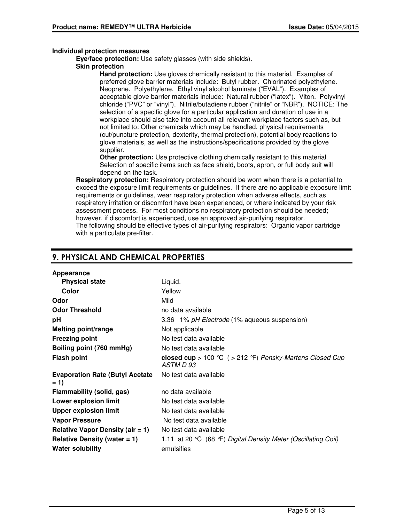### **Individual protection measures**

**Eye/face protection:** Use safety glasses (with side shields).

#### **Skin protection**

**Hand protection:** Use gloves chemically resistant to this material. Examples of preferred glove barrier materials include: Butyl rubber. Chlorinated polyethylene. Neoprene. Polyethylene. Ethyl vinyl alcohol laminate ("EVAL"). Examples of acceptable glove barrier materials include: Natural rubber ("latex"). Viton. Polyvinyl chloride ("PVC" or "vinyl"). Nitrile/butadiene rubber ("nitrile" or "NBR"). NOTICE: The selection of a specific glove for a particular application and duration of use in a workplace should also take into account all relevant workplace factors such as, but not limited to: Other chemicals which may be handled, physical requirements (cut/puncture protection, dexterity, thermal protection), potential body reactions to glove materials, as well as the instructions/specifications provided by the glove supplier.

**Other protection:** Use protective clothing chemically resistant to this material. Selection of specific items such as face shield, boots, apron, or full body suit will depend on the task.

**Respiratory protection:** Respiratory protection should be worn when there is a potential to exceed the exposure limit requirements or guidelines. If there are no applicable exposure limit requirements or guidelines, wear respiratory protection when adverse effects, such as respiratory irritation or discomfort have been experienced, or where indicated by your risk assessment process. For most conditions no respiratory protection should be needed; however, if discomfort is experienced, use an approved air-purifying respirator. The following should be effective types of air-purifying respirators: Organic vapor cartridge with a particulate pre-filter.

# 9. PHYSICAL AND CHEMICAL PROPERTIES

| Appearance                                       |                                                                        |
|--------------------------------------------------|------------------------------------------------------------------------|
| <b>Physical state</b>                            | Liquid.                                                                |
| Color                                            | Yellow                                                                 |
| Odor                                             | Mild                                                                   |
| <b>Odor Threshold</b>                            | no data available                                                      |
| рH                                               | 3.36 1% pH Electrode (1% aqueous suspension)                           |
| <b>Melting point/range</b>                       | Not applicable                                                         |
| <b>Freezing point</b>                            | No test data available                                                 |
| Boiling point (760 mmHg)                         | No test data available                                                 |
| <b>Flash point</b>                               | closed cup > 100 °C ( > 212 °F) Pensky-Martens Closed Cup<br>ASTM D 93 |
| <b>Evaporation Rate (Butyl Acetate)</b><br>$= 1$ | No test data available                                                 |
| Flammability (solid, gas)                        | no data available                                                      |
| <b>Lower explosion limit</b>                     | No test data available                                                 |
| <b>Upper explosion limit</b>                     | No test data available                                                 |
| <b>Vapor Pressure</b>                            | No test data available                                                 |
| Relative Vapor Density (air $= 1$ )              | No test data available                                                 |
| Relative Density (water $= 1$ )                  | 1.11 at 20 °C (68 °F) Digital Density Meter (Oscillating Coil)         |
| <b>Water solubility</b>                          | emulsifies                                                             |
|                                                  |                                                                        |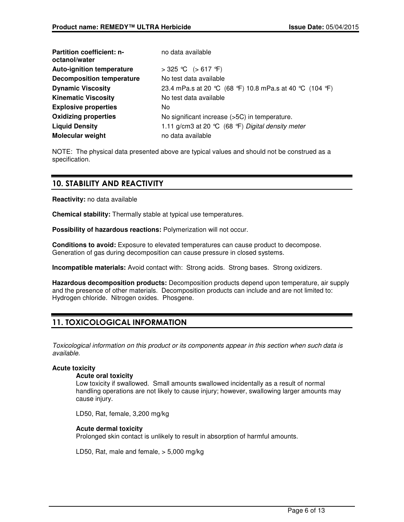| <b>Partition coefficient: n-</b><br>octanol/water | no data available                                        |
|---------------------------------------------------|----------------------------------------------------------|
| <b>Auto-ignition temperature</b>                  | > 325 ℃ (> 617 °F)                                       |
| <b>Decomposition temperature</b>                  | No test data available                                   |
| <b>Dynamic Viscosity</b>                          | 23.4 mPa.s at 20 °C (68 °F) 10.8 mPa.s at 40 °C (104 °F) |
| <b>Kinematic Viscosity</b>                        | No test data available                                   |
| <b>Explosive properties</b>                       | No.                                                      |
| <b>Oxidizing properties</b>                       | No significant increase (>5C) in temperature.            |
| <b>Liquid Density</b>                             | 1.11 g/cm3 at 20 ℃ (68 °F) Digital density meter         |
| <b>Molecular weight</b>                           | no data available                                        |

NOTE: The physical data presented above are typical values and should not be construed as a specification.

# 10. STABILITY AND REACTIVITY

**Reactivity:** no data available

**Chemical stability:** Thermally stable at typical use temperatures.

**Possibility of hazardous reactions:** Polymerization will not occur.

**Conditions to avoid:** Exposure to elevated temperatures can cause product to decompose. Generation of gas during decomposition can cause pressure in closed systems.

**Incompatible materials:** Avoid contact with: Strong acids. Strong bases. Strong oxidizers.

**Hazardous decomposition products:** Decomposition products depend upon temperature, air supply and the presence of other materials. Decomposition products can include and are not limited to: Hydrogen chloride. Nitrogen oxides. Phosgene.

# 11. TOXICOLOGICAL INFORMATION

Toxicological information on this product or its components appear in this section when such data is available.

## **Acute toxicity**

#### **Acute oral toxicity**

Low toxicity if swallowed. Small amounts swallowed incidentally as a result of normal handling operations are not likely to cause injury; however, swallowing larger amounts may cause injury.

LD50, Rat, female, 3,200 mg/kg

## **Acute dermal toxicity**

Prolonged skin contact is unlikely to result in absorption of harmful amounts.

LD50, Rat, male and female, > 5,000 mg/kg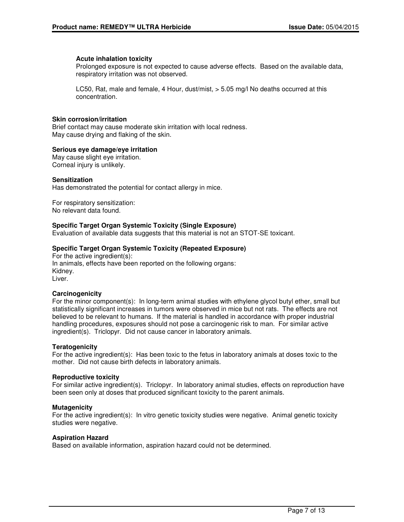#### **Acute inhalation toxicity**

Prolonged exposure is not expected to cause adverse effects. Based on the available data, respiratory irritation was not observed.

LC50, Rat, male and female, 4 Hour, dust/mist, > 5.05 mg/l No deaths occurred at this concentration.

### **Skin corrosion/irritation**

Brief contact may cause moderate skin irritation with local redness. May cause drying and flaking of the skin.

#### **Serious eye damage/eye irritation**

May cause slight eye irritation. Corneal injury is unlikely.

#### **Sensitization**

Has demonstrated the potential for contact allergy in mice.

For respiratory sensitization: No relevant data found.

#### **Specific Target Organ Systemic Toxicity (Single Exposure)**

Evaluation of available data suggests that this material is not an STOT-SE toxicant.

#### **Specific Target Organ Systemic Toxicity (Repeated Exposure)**

For the active ingredient(s): In animals, effects have been reported on the following organs: Kidney. Liver.

#### **Carcinogenicity**

For the minor component(s): In long-term animal studies with ethylene glycol butyl ether, small but statistically significant increases in tumors were observed in mice but not rats. The effects are not believed to be relevant to humans. If the material is handled in accordance with proper industrial handling procedures, exposures should not pose a carcinogenic risk to man. For similar active ingredient(s). Triclopyr. Did not cause cancer in laboratory animals.

#### **Teratogenicity**

For the active ingredient(s): Has been toxic to the fetus in laboratory animals at doses toxic to the mother. Did not cause birth defects in laboratory animals.

#### **Reproductive toxicity**

For similar active ingredient(s). Triclopyr. In laboratory animal studies, effects on reproduction have been seen only at doses that produced significant toxicity to the parent animals.

#### **Mutagenicity**

For the active ingredient(s): In vitro genetic toxicity studies were negative. Animal genetic toxicity studies were negative.

#### **Aspiration Hazard**

Based on available information, aspiration hazard could not be determined.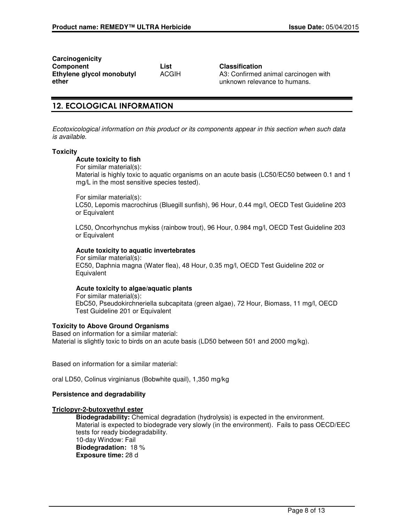**Carcinogenicity Component List Classification Ethylene glycol monobutyl ether**

ACGIH A3: Confirmed animal carcinogen with unknown relevance to humans.

# 12. ECOLOGICAL INFORMATION

Ecotoxicological information on this product or its components appear in this section when such data is available.

#### **Toxicity**

#### **Acute toxicity to fish**

For similar material(s):

Material is highly toxic to aquatic organisms on an acute basis (LC50/EC50 between 0.1 and 1 mg/L in the most sensitive species tested).

For similar material(s):

LC50, Lepomis macrochirus (Bluegill sunfish), 96 Hour, 0.44 mg/l, OECD Test Guideline 203 or Equivalent

LC50, Oncorhynchus mykiss (rainbow trout), 96 Hour, 0.984 mg/l, OECD Test Guideline 203 or Equivalent

#### **Acute toxicity to aquatic invertebrates**

For similar material(s): EC50, Daphnia magna (Water flea), 48 Hour, 0.35 mg/l, OECD Test Guideline 202 or **Equivalent** 

#### **Acute toxicity to algae/aquatic plants**

For similar material(s): EbC50, Pseudokirchneriella subcapitata (green algae), 72 Hour, Biomass, 11 mg/l, OECD Test Guideline 201 or Equivalent

#### **Toxicity to Above Ground Organisms**

Based on information for a similar material: Material is slightly toxic to birds on an acute basis (LD50 between 501 and 2000 mg/kg).

Based on information for a similar material:

oral LD50, Colinus virginianus (Bobwhite quail), 1,350 mg/kg

#### **Persistence and degradability**

## **Triclopyr-2-butoxyethyl ester**

**Biodegradability:** Chemical degradation (hydrolysis) is expected in the environment. Material is expected to biodegrade very slowly (in the environment). Fails to pass OECD/EEC tests for ready biodegradability. 10-day Window: Fail **Biodegradation:** 18 % **Exposure time:** 28 d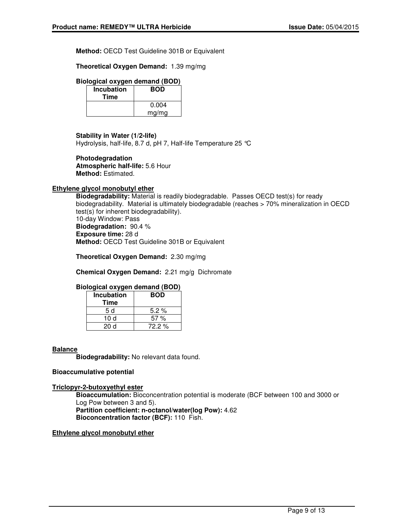**Method:** OECD Test Guideline 301B or Equivalent

**Theoretical Oxygen Demand:** 1.39 mg/mg

### **Biological oxygen demand (BOD)**

| Incubation<br>Time | <b>BOD</b> |
|--------------------|------------|
|                    | 0.004      |
|                    | mg/mg      |

#### **Stability in Water (1/2-life)**

Hydrolysis, half-life, 8.7 d, pH 7, Half-life Temperature 25 °C

#### **Photodegradation**

**Atmospheric half-life:** 5.6 Hour **Method:** Estimated.

# **Ethylene glycol monobutyl ether**

**Biodegradability:** Material is readily biodegradable. Passes OECD test(s) for ready biodegradability. Material is ultimately biodegradable (reaches > 70% mineralization in OECD test(s) for inherent biodegradability). 10-day Window: Pass **Biodegradation:** 90.4 % **Exposure time:** 28 d

**Method:** OECD Test Guideline 301B or Equivalent

**Theoretical Oxygen Demand:** 2.30 mg/mg

**Chemical Oxygen Demand:** 2.21 mg/g Dichromate

## **Biological oxygen demand (BOD)**

| <b>Incubation</b> | <b>BOD</b> |
|-------------------|------------|
| Time              |            |
| 5 d               | $5.2\%$    |
| 10 d              | 57%        |
| 20d               | $72.2\%$   |

#### **Balance**

**Biodegradability:** No relevant data found.

#### **Bioaccumulative potential**

#### **Triclopyr-2-butoxyethyl ester**

**Bioaccumulation:** Bioconcentration potential is moderate (BCF between 100 and 3000 or Log Pow between 3 and 5). **Partition coefficient: n-octanol/water(log Pow):** 4.62 **Bioconcentration factor (BCF):** 110 Fish.

#### **Ethylene glycol monobutyl ether**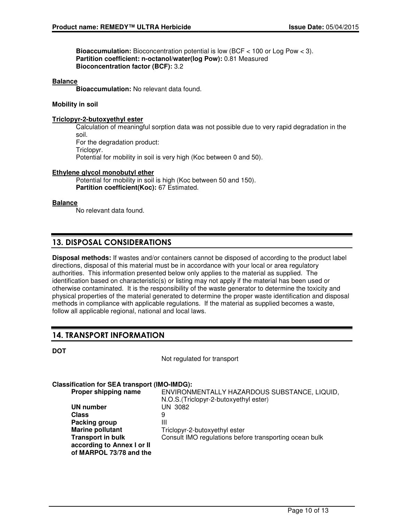**Bioaccumulation:** Bioconcentration potential is low (BCF < 100 or Log Pow < 3). **Partition coefficient: n-octanol/water(log Pow):** 0.81 Measured **Bioconcentration factor (BCF):** 3.2

#### **Balance**

**Bioaccumulation:** No relevant data found.

#### **Mobility in soil**

#### **Triclopyr-2-butoxyethyl ester**

Calculation of meaningful sorption data was not possible due to very rapid degradation in the soil. For the degradation product: Triclopyr. Potential for mobility in soil is very high (Koc between 0 and 50).

#### **Ethylene glycol monobutyl ether**

Potential for mobility in soil is high (Koc between 50 and 150). **Partition coefficient(Koc):** 67 Estimated.

#### **Balance**

No relevant data found.

# 13. DISPOSAL CONSIDERATIONS

**Disposal methods:** If wastes and/or containers cannot be disposed of according to the product label directions, disposal of this material must be in accordance with your local or area regulatory authorities. This information presented below only applies to the material as supplied. The identification based on characteristic(s) or listing may not apply if the material has been used or otherwise contaminated. It is the responsibility of the waste generator to determine the toxicity and physical properties of the material generated to determine the proper waste identification and disposal methods in compliance with applicable regulations. If the material as supplied becomes a waste, follow all applicable regional, national and local laws.

# 14. TRANSPORT INFORMATION

| a.<br>۰.<br>I<br>۰. |  |
|---------------------|--|
|---------------------|--|

Not regulated for transport

#### **Classification for SEA transport (IMO-IMDG):**

| Proper shipping name       | ENVIRONMENTALLY HAZARDOUS SUBSTANCE, LIQUID,           |
|----------------------------|--------------------------------------------------------|
|                            | N.O.S. (Triclopyr-2-butoxyethyl ester)                 |
| UN number                  | UN 3082                                                |
| <b>Class</b>               | 9                                                      |
| Packing group              | Ш                                                      |
| <b>Marine pollutant</b>    | Triclopyr-2-butoxyethyl ester                          |
| <b>Transport in bulk</b>   | Consult IMO regulations before transporting ocean bulk |
| according to Annex I or II |                                                        |
| of MARPOL 73/78 and the    |                                                        |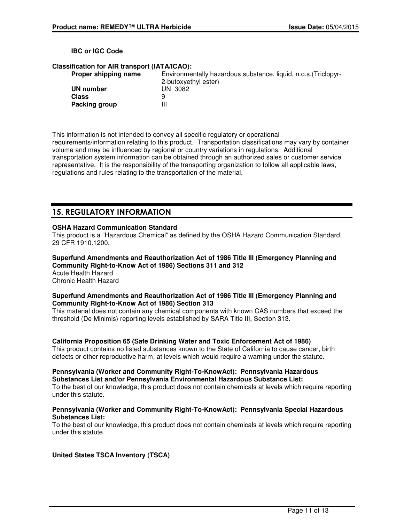#### **IBC or IGC Code**

#### **Classification for AIR transport (IATA/ICAO):**

| Proper shipping name | Environmentally hazardous substance, liquid, n.o.s. (Triclopyr- |
|----------------------|-----------------------------------------------------------------|
|                      | 2-butoxyethyl ester)                                            |
| UN number            | UN 3082                                                         |
| <b>Class</b>         | 9                                                               |
| Packing group        | Ш                                                               |

This information is not intended to convey all specific regulatory or operational requirements/information relating to this product. Transportation classifications may vary by container volume and may be influenced by regional or country variations in regulations. Additional transportation system information can be obtained through an authorized sales or customer service representative. It is the responsibility of the transporting organization to follow all applicable laws, regulations and rules relating to the transportation of the material.

# 15. REGULATORY INFORMATION

#### **OSHA Hazard Communication Standard**

This product is a "Hazardous Chemical" as defined by the OSHA Hazard Communication Standard, 29 CFR 1910.1200.

**Superfund Amendments and Reauthorization Act of 1986 Title III (Emergency Planning and Community Right-to-Know Act of 1986) Sections 311 and 312** Acute Health Hazard Chronic Health Hazard

#### **Superfund Amendments and Reauthorization Act of 1986 Title III (Emergency Planning and Community Right-to-Know Act of 1986) Section 313**

This material does not contain any chemical components with known CAS numbers that exceed the threshold (De Minimis) reporting levels established by SARA Title III, Section 313.

#### **California Proposition 65 (Safe Drinking Water and Toxic Enforcement Act of 1986)**

This product contains no listed substances known to the State of California to cause cancer, birth defects or other reproductive harm, at levels which would require a warning under the statute.

### **Pennsylvania (Worker and Community Right-To-KnowAct): Pennsylvania Hazardous Substances List and/or Pennsylvania Environmental Hazardous Substance List:**

To the best of our knowledge, this product does not contain chemicals at levels which require reporting under this statute.

#### **Pennsylvania (Worker and Community Right-To-KnowAct): Pennsylvania Special Hazardous Substances List:**

To the best of our knowledge, this product does not contain chemicals at levels which require reporting under this statute.

## **United States TSCA Inventory (TSCA)**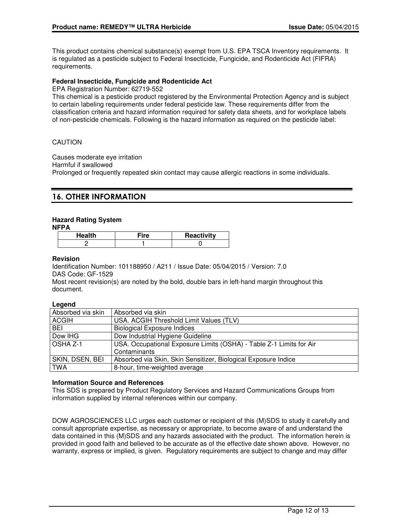This product contains chemical substance(s) exempt from U.S. EPA TSCA Inventory requirements. It is regulated as a pesticide subject to Federal Insecticide, Fungicide, and Rodenticide Act (FIFRA) requirements.

### **Federal Insecticide, Fungicide and Rodenticide Act**

EPA Registration Number: 62719-552

This chemical is a pesticide product registered by the Environmental Protection Agency and is subject to certain labeling requirements under federal pesticide law. These requirements differ from the classification criteria and hazard information required for safety data sheets, and for workplace labels of non-pesticide chemicals. Following is the hazard information as required on the pesticide label:

### CAUTION

Causes moderate eye irritation Harmful if swallowed Prolonged or frequently repeated skin contact may cause allergic reactions in some individuals.

# 16. OTHER INFORMATION

## **Hazard Rating System**

**NFPA**

| Health | ™ire | Reactivity |
|--------|------|------------|
|        |      |            |

#### **Revision**

Identification Number: 101188950 / A211 / Issue Date: 05/04/2015 / Version: 7.0 DAS Code: GF-1529

Most recent revision(s) are noted by the bold, double bars in left-hand margin throughout this document.

#### **Legend**

| Absorbed via skin | Absorbed via skin                                                   |
|-------------------|---------------------------------------------------------------------|
| <b>ACGIH</b>      | USA. ACGIH Threshold Limit Values (TLV)                             |
| <b>BEI</b>        | <b>Biological Exposure Indices</b>                                  |
| Dow IHG           | Dow Industrial Hygiene Guideline                                    |
| OSHA Z-1          | USA. Occupational Exposure Limits (OSHA) - Table Z-1 Limits for Air |
|                   | Contaminants                                                        |
| SKIN, DSEN, BEI   | Absorbed via Skin, Skin Sensitizer, Biological Exposure Indice      |
| <b>TWA</b>        | 8-hour, time-weighted average                                       |

#### **Information Source and References**

This SDS is prepared by Product Regulatory Services and Hazard Communications Groups from information supplied by internal references within our company.

DOW AGROSCIENCES LLC urges each customer or recipient of this (M)SDS to study it carefully and consult appropriate expertise, as necessary or appropriate, to become aware of and understand the data contained in this (M)SDS and any hazards associated with the product. The information herein is provided in good faith and believed to be accurate as of the effective date shown above. However, no warranty, express or implied, is given. Regulatory requirements are subject to change and may differ